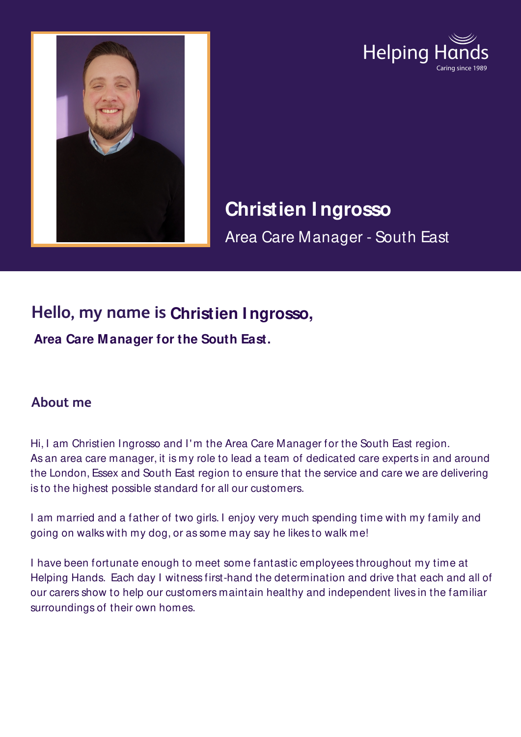



# **Christien I ngrosso**

Area Care Manager - South East

## **Hello, my name is Christien I ngrosso,**

**Area Care Manager for the South East.**

#### **About me**

Hi, I am Christien Ingrosso and I' m the Area Care Manager for the South East region. As an area care manager, it is my role to lead a team of dedicated care experts in and around the London, Essex and South East region to ensure that the service and care we are delivering is to the highest possible standard for all our customers.

I am married and a father of two girls. I enjoy very much spending time with my family and going on walks with my dog, or as some may say he likes to walk me!

I have been fortunate enough to meet some fantastic employees throughout my time at Helping Hands. Each day I witness first-hand the determination and drive that each and all of our carers show to help our customers maintain healthy and independent lives in the familiar surroundings of their own homes.